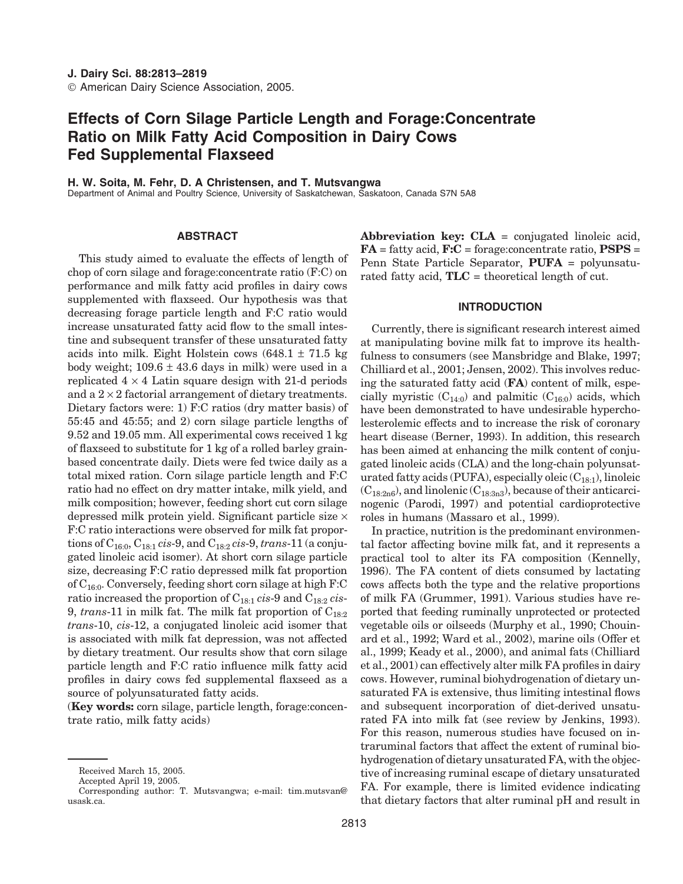# **Effects of Corn Silage Particle Length and Forage:Concentrate Ratio on Milk Fatty Acid Composition in Dairy Cows Fed Supplemental Flaxseed**

# **H. W. Soita, M. Fehr, D. A Christensen, and T. Mutsvangwa**

Department of Animal and Poultry Science, University of Saskatchewan, Saskatoon, Canada S7N 5A8

# **ABSTRACT**

This study aimed to evaluate the effects of length of chop of corn silage and forage:concentrate ratio (F:C) on performance and milk fatty acid profiles in dairy cows supplemented with flaxseed. Our hypothesis was that decreasing forage particle length and F:C ratio would increase unsaturated fatty acid flow to the small intestine and subsequent transfer of these unsaturated fatty acids into milk. Eight Holstein cows  $(648.1 \pm 71.5 \text{ kg})$ body weight;  $109.6 \pm 43.6$  days in milk) were used in a replicated  $4 \times 4$  Latin square design with 21-d periods and a  $2 \times 2$  factorial arrangement of dietary treatments. Dietary factors were: 1) F:C ratios (dry matter basis) of 55:45 and 45:55; and 2) corn silage particle lengths of 9.52 and 19.05 mm. All experimental cows received 1 kg of flaxseed to substitute for 1 kg of a rolled barley grainbased concentrate daily. Diets were fed twice daily as a total mixed ration. Corn silage particle length and F:C ratio had no effect on dry matter intake, milk yield, and milk composition; however, feeding short cut corn silage depressed milk protein yield. Significant particle size × F:C ratio interactions were observed for milk fat proportions of C16:0, C18:1 *cis*-9, and C18:2 *cis*-9, *trans*-11 (a conjugated linoleic acid isomer). At short corn silage particle size, decreasing F:C ratio depressed milk fat proportion of  $C_{16:0}$ . Conversely, feeding short corn silage at high F:C ratio increased the proportion of C18:1 *cis*-9 and C18:2 *cis*-9, *trans*-11 in milk fat. The milk fat proportion of C<sub>18:2</sub> *trans*-10, *cis*-12, a conjugated linoleic acid isomer that is associated with milk fat depression, was not affected by dietary treatment. Our results show that corn silage particle length and F:C ratio influence milk fatty acid profiles in dairy cows fed supplemental flaxseed as a source of polyunsaturated fatty acids.

(**Key words:** corn silage, particle length, forage:concentrate ratio, milk fatty acids)

**Abbreviation key: CLA** = conjugated linoleic acid, **FA** = fatty acid, **F:C** = forage:concentrate ratio, **PSPS** = Penn State Particle Separator, **PUFA** = polyunsaturated fatty acid, **TLC** = theoretical length of cut.

## **INTRODUCTION**

Currently, there is significant research interest aimed at manipulating bovine milk fat to improve its healthfulness to consumers (see Mansbridge and Blake, 1997; Chilliard et al., 2001; Jensen, 2002). This involves reducing the saturated fatty acid (**FA**) content of milk, especially myristic  $(C_{14:0})$  and palmitic  $(C_{16:0})$  acids, which have been demonstrated to have undesirable hypercholesterolemic effects and to increase the risk of coronary heart disease (Berner, 1993). In addition, this research has been aimed at enhancing the milk content of conjugated linoleic acids (CLA) and the long-chain polyunsaturated fatty acids (PUFA), especially oleic  $(C_{18:1})$ , linoleic  $(C_{18:2n6})$ , and linolenic  $(C_{18:3n3})$ , because of their anticarcinogenic (Parodi, 1997) and potential cardioprotective roles in humans (Massaro et al., 1999).

In practice, nutrition is the predominant environmental factor affecting bovine milk fat, and it represents a practical tool to alter its FA composition (Kennelly, 1996). The FA content of diets consumed by lactating cows affects both the type and the relative proportions of milk FA (Grummer, 1991). Various studies have reported that feeding ruminally unprotected or protected vegetable oils or oilseeds (Murphy et al., 1990; Chouinard et al., 1992; Ward et al., 2002), marine oils (Offer et al., 1999; Keady et al., 2000), and animal fats (Chilliard et al., 2001) can effectively alter milk FA profiles in dairy cows. However, ruminal biohydrogenation of dietary unsaturated FA is extensive, thus limiting intestinal flows and subsequent incorporation of diet-derived unsaturated FA into milk fat (see review by Jenkins, 1993). For this reason, numerous studies have focused on intraruminal factors that affect the extent of ruminal biohydrogenation of dietary unsaturated FA, with the objective of increasing ruminal escape of dietary unsaturated FA. For example, there is limited evidence indicating that dietary factors that alter ruminal pH and result in

Received March 15, 2005.

Accepted April 19, 2005.

Corresponding author: T. Mutsvangwa; e-mail: tim.mutsvan@ usask.ca.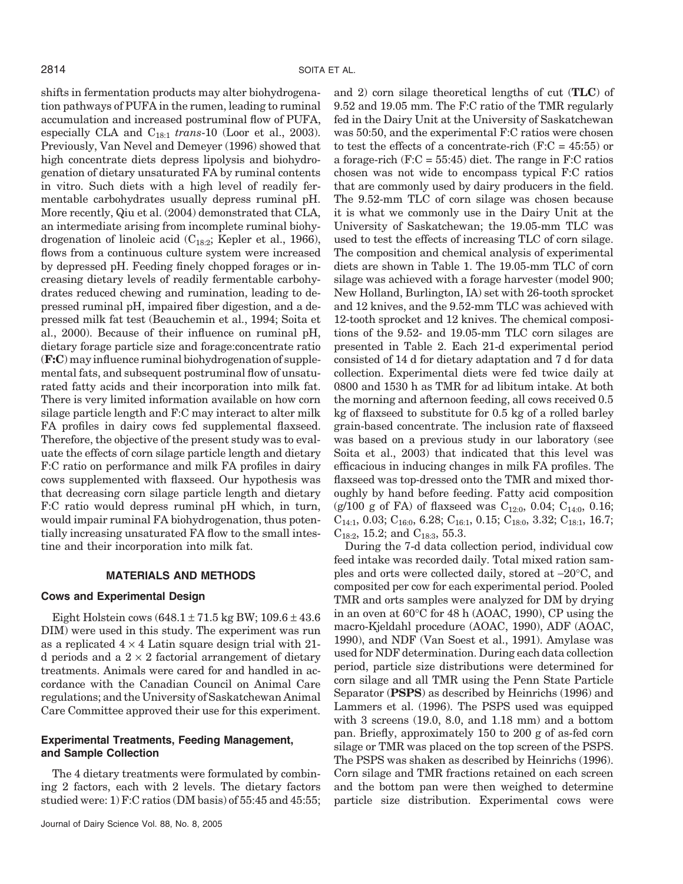shifts in fermentation products may alter biohydrogenation pathways of PUFA in the rumen, leading to ruminal accumulation and increased postruminal flow of PUFA, especially CLA and C18:1 *trans*-10 (Loor et al., 2003). Previously, Van Nevel and Demeyer (1996) showed that high concentrate diets depress lipolysis and biohydrogenation of dietary unsaturated FA by ruminal contents in vitro. Such diets with a high level of readily fermentable carbohydrates usually depress ruminal pH. More recently, Qiu et al. (2004) demonstrated that CLA, an intermediate arising from incomplete ruminal biohydrogenation of linoleic acid  $(C_{18:2}$ ; Kepler et al., 1966), flows from a continuous culture system were increased by depressed pH. Feeding finely chopped forages or increasing dietary levels of readily fermentable carbohydrates reduced chewing and rumination, leading to depressed ruminal pH, impaired fiber digestion, and a depressed milk fat test (Beauchemin et al., 1994; Soita et al., 2000). Because of their influence on ruminal pH, dietary forage particle size and forage:concentrate ratio (**F:C**) may influence ruminal biohydrogenation of supplemental fats, and subsequent postruminal flow of unsaturated fatty acids and their incorporation into milk fat. There is very limited information available on how corn silage particle length and F:C may interact to alter milk FA profiles in dairy cows fed supplemental flaxseed. Therefore, the objective of the present study was to evaluate the effects of corn silage particle length and dietary F:C ratio on performance and milk FA profiles in dairy cows supplemented with flaxseed. Our hypothesis was that decreasing corn silage particle length and dietary F:C ratio would depress ruminal pH which, in turn, would impair ruminal FA biohydrogenation, thus potentially increasing unsaturated FA flow to the small intestine and their incorporation into milk fat.

#### **MATERIALS AND METHODS**

# **Cows and Experimental Design**

Eight Holstein cows  $(648.1 \pm 71.5 \text{ kg BW}; 109.6 \pm 43.6$ DIM) were used in this study. The experiment was run as a replicated  $4 \times 4$  Latin square design trial with 21d periods and a  $2 \times 2$  factorial arrangement of dietary treatments. Animals were cared for and handled in accordance with the Canadian Council on Animal Care regulations; and the University of Saskatchewan Animal Care Committee approved their use for this experiment.

## **Experimental Treatments, Feeding Management, and Sample Collection**

The 4 dietary treatments were formulated by combining 2 factors, each with 2 levels. The dietary factors studied were: 1) F:C ratios (DM basis) of 55:45 and 45:55;

and 2) corn silage theoretical lengths of cut (**TLC**) of 9.52 and 19.05 mm. The F:C ratio of the TMR regularly fed in the Dairy Unit at the University of Saskatchewan was 50:50, and the experimental F:C ratios were chosen to test the effects of a concentrate-rich  $(F:C = 45:55)$  or a forage-rich  $(F:C = 55:45)$  diet. The range in  $F:C$  ratios chosen was not wide to encompass typical F:C ratios that are commonly used by dairy producers in the field. The 9.52-mm TLC of corn silage was chosen because it is what we commonly use in the Dairy Unit at the University of Saskatchewan; the 19.05-mm TLC was used to test the effects of increasing TLC of corn silage. The composition and chemical analysis of experimental diets are shown in Table 1. The 19.05-mm TLC of corn silage was achieved with a forage harvester (model 900; New Holland, Burlington, IA) set with 26-tooth sprocket and 12 knives, and the 9.52-mm TLC was achieved with 12-tooth sprocket and 12 knives. The chemical compositions of the 9.52- and 19.05-mm TLC corn silages are presented in Table 2. Each 21-d experimental period consisted of 14 d for dietary adaptation and 7 d for data collection. Experimental diets were fed twice daily at 0800 and 1530 h as TMR for ad libitum intake. At both the morning and afternoon feeding, all cows received 0.5 kg of flaxseed to substitute for 0.5 kg of a rolled barley grain-based concentrate. The inclusion rate of flaxseed was based on a previous study in our laboratory (see Soita et al., 2003) that indicated that this level was efficacious in inducing changes in milk FA profiles. The flaxseed was top-dressed onto the TMR and mixed thoroughly by hand before feeding. Fatty acid composition (g/100 g of FA) of flaxseed was  $C_{12:0}$ , 0.04;  $C_{14:0}$ , 0.16;  $C_{14:1}$ , 0.03;  $C_{16:0}$ , 6.28;  $C_{16:1}$ , 0.15;  $C_{18:0}$ , 3.32;  $C_{18:1}$ , 16.7;  $C_{18:2}$ , 15.2; and  $C_{18:3}$ , 55.3.

During the 7-d data collection period, individual cow feed intake was recorded daily. Total mixed ration samples and orts were collected daily, stored at −20°C, and composited per cow for each experimental period. Pooled TMR and orts samples were analyzed for DM by drying in an oven at 60°C for 48 h (AOAC, 1990), CP using the macro-Kjeldahl procedure (AOAC, 1990), ADF (AOAC, 1990), and NDF (Van Soest et al., 1991). Amylase was used for NDF determination. During each data collection period, particle size distributions were determined for corn silage and all TMR using the Penn State Particle Separator (**PSPS**) as described by Heinrichs (1996) and Lammers et al. (1996). The PSPS used was equipped with 3 screens (19.0, 8.0, and 1.18 mm) and a bottom pan. Briefly, approximately 150 to 200 g of as-fed corn silage or TMR was placed on the top screen of the PSPS. The PSPS was shaken as described by Heinrichs (1996). Corn silage and TMR fractions retained on each screen and the bottom pan were then weighed to determine particle size distribution. Experimental cows were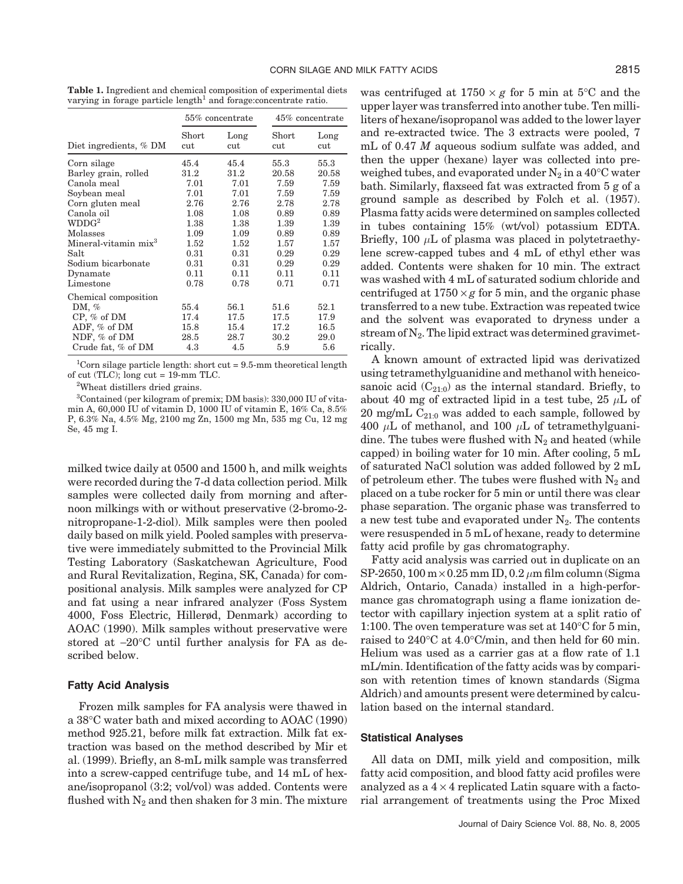**Table 1.** Ingredient and chemical composition of experimental diets varying in forage particle length<sup>1</sup> and forage: concentrate ratio.

|                                  |              | $55\%$ concentrate | 45% concentrate |             |  |
|----------------------------------|--------------|--------------------|-----------------|-------------|--|
| Diet ingredients, % DM           | Short<br>cut | Long<br>cut        | Short<br>cut    | Long<br>cut |  |
| Corn silage                      | 45.4         | 45.4               | 55.3            | 55.3        |  |
| Barley grain, rolled             | 31.2         | 31.2               | 20.58           | 20.58       |  |
| Canola meal                      | 7.01         | 7.01               | 7.59            | 7.59        |  |
| Soybean meal                     | 7.01         | 7.01               | 7.59            | 7.59        |  |
| Corn gluten meal                 | 2.76         | 2.76               | 2.78            | 2.78        |  |
| Canola oil                       | 1.08         | 1.08               | 0.89            | 0.89        |  |
| WDDG <sup>2</sup>                | 1.38         | 1.38               | 1.39            | 1.39        |  |
| Molasses                         | 1.09         | 1.09               | 0.89            | 0.89        |  |
| Mineral-vitamin mix <sup>3</sup> | 1.52         | 1.52               | 1.57            | 1.57        |  |
| Salt                             | 0.31         | 0.31               | 0.29            | 0.29        |  |
| Sodium bicarbonate               | 0.31         | 0.31               | 0.29            | 0.29        |  |
| Dynamate                         | 0.11         | 0.11               | 0.11            | 0.11        |  |
| Limestone                        | 0.78         | 0.78               | 0.71            | 0.71        |  |
| Chemical composition             |              |                    |                 |             |  |
| DM, $%$                          | 55.4         | 56.1               | 51.6            | 52.1        |  |
| $CP, \%$ of DM                   | 17.4         | 17.5               | 17.5            | 17.9        |  |
| ADF, % of DM                     | 15.8         | 15.4               | 17.2            | 16.5        |  |
| NDF, % of DM                     | 28.5         | 28.7               | 30.2            | 29.0        |  |
| Crude fat, % of DM               | 4.3          | 4.5                | 5.9             | 5.6         |  |

<sup>1</sup>Corn silage particle length: short cut =  $9.5$ -mm theoretical length of cut (TLC); long cut  $= 19$ -mm TLC.

2 Wheat distillers dried grains.

3 Contained (per kilogram of premix; DM basis): 330,000 IU of vitamin A, 60,000 IU of vitamin D, 1000 IU of vitamin E, 16% Ca, 8.5% P, 6.3% Na, 4.5% Mg, 2100 mg Zn, 1500 mg Mn, 535 mg Cu, 12 mg Se, 45 mg I.

milked twice daily at 0500 and 1500 h, and milk weights were recorded during the 7-d data collection period. Milk samples were collected daily from morning and afternoon milkings with or without preservative (2-bromo-2 nitropropane-1-2-diol). Milk samples were then pooled daily based on milk yield. Pooled samples with preservative were immediately submitted to the Provincial Milk Testing Laboratory (Saskatchewan Agriculture, Food and Rural Revitalization, Regina, SK, Canada) for compositional analysis. Milk samples were analyzed for CP and fat using a near infrared analyzer (Foss System 4000, Foss Electric, Hillerød, Denmark) according to AOAC (1990). Milk samples without preservative were stored at −20°C until further analysis for FA as described below.

### **Fatty Acid Analysis**

Frozen milk samples for FA analysis were thawed in a 38°C water bath and mixed according to AOAC (1990) method 925.21, before milk fat extraction. Milk fat extraction was based on the method described by Mir et al. (1999). Briefly, an 8-mL milk sample was transferred into a screw-capped centrifuge tube, and 14 mL of hexane/isopropanol (3:2; vol/vol) was added. Contents were flushed with  $N_2$  and then shaken for 3 min. The mixture was centrifuged at  $1750 \times g$  for 5 min at 5<sup>o</sup>C and the upper layer was transferred into another tube. Ten milliliters of hexane/isopropanol was added to the lower layer and re-extracted twice. The 3 extracts were pooled, 7 mL of 0.47 *M* aqueous sodium sulfate was added, and then the upper (hexane) layer was collected into preweighed tubes, and evaporated under  $N_2$  in a 40<sup>o</sup>C water bath. Similarly, flaxseed fat was extracted from 5 g of a ground sample as described by Folch et al. (1957). Plasma fatty acids were determined on samples collected in tubes containing 15% (wt/vol) potassium EDTA. Briefly, 100  $\mu$ L of plasma was placed in polytetraethylene screw-capped tubes and 4 mL of ethyl ether was added. Contents were shaken for 10 min. The extract was washed with 4 mL of saturated sodium chloride and centrifuged at  $1750 \times g$  for 5 min, and the organic phase transferred to a new tube. Extraction was repeated twice and the solvent was evaporated to dryness under a stream of  $N_2$ . The lipid extract was determined gravimetrically.

A known amount of extracted lipid was derivatized using tetramethylguanidine and methanol with heneicosanoic acid  $(C_{21:0})$  as the internal standard. Briefly, to about 40 mg of extracted lipid in a test tube, 25  $\mu$ L of 20 mg/mL  $C_{21:0}$  was added to each sample, followed by 400  $\mu$ L of methanol, and 100  $\mu$ L of tetramethylguanidine. The tubes were flushed with  $N_2$  and heated (while capped) in boiling water for 10 min. After cooling, 5 mL of saturated NaCl solution was added followed by 2 mL of petroleum ether. The tubes were flushed with  $N_2$  and placed on a tube rocker for 5 min or until there was clear phase separation. The organic phase was transferred to a new test tube and evaporated under  $N_2$ . The contents were resuspended in 5 mL of hexane, ready to determine fatty acid profile by gas chromatography.

Fatty acid analysis was carried out in duplicate on an SP-2650, 100 m  $\times$  0.25 mm ID, 0.2  $\mu$ m film column (Sigma Aldrich, Ontario, Canada) installed in a high-performance gas chromatograph using a flame ionization detector with capillary injection system at a split ratio of 1:100. The oven temperature was set at 140°C for 5 min, raised to 240°C at 4.0°C/min, and then held for 60 min. Helium was used as a carrier gas at a flow rate of 1.1 mL/min. Identification of the fatty acids was by comparison with retention times of known standards (Sigma Aldrich) and amounts present were determined by calculation based on the internal standard.

#### **Statistical Analyses**

All data on DMI, milk yield and composition, milk fatty acid composition, and blood fatty acid profiles were analyzed as a  $4 \times 4$  replicated Latin square with a factorial arrangement of treatments using the Proc Mixed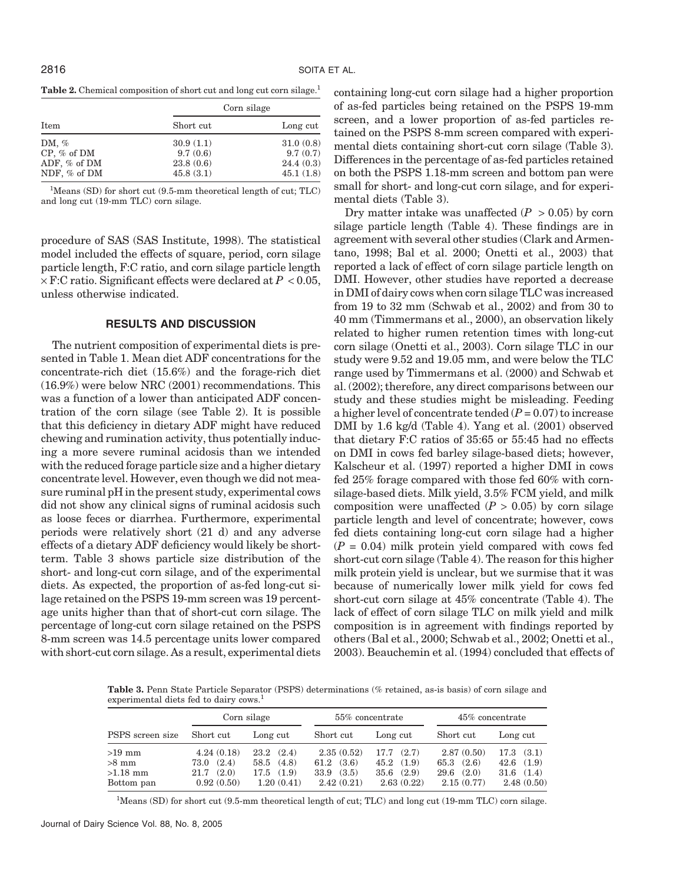**Table 2.** Chemical composition of short cut and long cut corn silage.<sup>1</sup>

|                                                           |                                                 | Corn silage                                     |  |
|-----------------------------------------------------------|-------------------------------------------------|-------------------------------------------------|--|
| Item                                                      | Short cut                                       | Long cut                                        |  |
| DM, $%$<br>$CP, \%$ of DM<br>ADF, % of DM<br>NDF, % of DM | 30.9(1.1)<br>9.7(0.6)<br>23.8(0.6)<br>45.8(3.1) | 31.0(0.8)<br>9.7(0.7)<br>24.4(0.3)<br>45.1(1.8) |  |

<sup>1</sup>Means (SD) for short cut (9.5-mm theoretical length of cut; TLC) and long cut (19-mm TLC) corn silage.

procedure of SAS (SAS Institute, 1998). The statistical model included the effects of square, period, corn silage particle length, F:C ratio, and corn silage particle length  $\times$  F:C ratio. Significant effects were declared at  $P < 0.05$ , unless otherwise indicated.

## **RESULTS AND DISCUSSION**

The nutrient composition of experimental diets is presented in Table 1. Mean diet ADF concentrations for the concentrate-rich diet (15.6%) and the forage-rich diet (16.9%) were below NRC (2001) recommendations. This was a function of a lower than anticipated ADF concentration of the corn silage (see Table 2). It is possible that this deficiency in dietary ADF might have reduced chewing and rumination activity, thus potentially inducing a more severe ruminal acidosis than we intended with the reduced forage particle size and a higher dietary concentrate level. However, even though we did not measure ruminal pH in the present study, experimental cows did not show any clinical signs of ruminal acidosis such as loose feces or diarrhea. Furthermore, experimental periods were relatively short (21 d) and any adverse effects of a dietary ADF deficiency would likely be shortterm. Table 3 shows particle size distribution of the short- and long-cut corn silage, and of the experimental diets. As expected, the proportion of as-fed long-cut silage retained on the PSPS 19-mm screen was 19 percentage units higher than that of short-cut corn silage. The percentage of long-cut corn silage retained on the PSPS 8-mm screen was 14.5 percentage units lower compared with short-cut corn silage. As a result, experimental diets containing long-cut corn silage had a higher proportion of as-fed particles being retained on the PSPS 19-mm screen, and a lower proportion of as-fed particles retained on the PSPS 8-mm screen compared with experimental diets containing short-cut corn silage (Table 3). Differences in the percentage of as-fed particles retained on both the PSPS 1.18-mm screen and bottom pan were small for short- and long-cut corn silage, and for experimental diets (Table 3).

Dry matter intake was unaffected  $(P > 0.05)$  by corn silage particle length (Table 4). These findings are in agreement with several other studies (Clark and Armentano, 1998; Bal et al. 2000; Onetti et al., 2003) that reported a lack of effect of corn silage particle length on DMI. However, other studies have reported a decrease in DMI of dairy cows when corn silage TLC was increased from 19 to 32 mm (Schwab et al., 2002) and from 30 to 40 mm (Timmermans et al., 2000), an observation likely related to higher rumen retention times with long-cut corn silage (Onetti et al., 2003). Corn silage TLC in our study were 9.52 and 19.05 mm, and were below the TLC range used by Timmermans et al. (2000) and Schwab et al. (2002); therefore, any direct comparisons between our study and these studies might be misleading. Feeding a higher level of concentrate tended  $(P = 0.07)$  to increase DMI by 1.6 kg/d (Table 4). Yang et al. (2001) observed that dietary F:C ratios of 35:65 or 55:45 had no effects on DMI in cows fed barley silage-based diets; however, Kalscheur et al. (1997) reported a higher DMI in cows fed 25% forage compared with those fed 60% with cornsilage-based diets. Milk yield, 3.5% FCM yield, and milk composition were unaffected  $(P > 0.05)$  by corn silage particle length and level of concentrate; however, cows fed diets containing long-cut corn silage had a higher  $(P = 0.04)$  milk protein yield compared with cows fed short-cut corn silage (Table 4). The reason for this higher milk protein yield is unclear, but we surmise that it was because of numerically lower milk yield for cows fed short-cut corn silage at 45% concentrate (Table 4). The lack of effect of corn silage TLC on milk yield and milk composition is in agreement with findings reported by others (Bal et al., 2000; Schwab et al., 2002; Onetti et al., 2003). Beauchemin et al. (1994) concluded that effects of

**Table 3.** Penn State Particle Separator (PSPS) determinations (% retained, as-is basis) of corn silage and experimental diets fed to dairy cows.<sup>1</sup>

|                                                 | Corn silage                                                |                                                                    |                                                                      | 55% concentrate                                               | 45% concentrate                                             |                                                                    |
|-------------------------------------------------|------------------------------------------------------------|--------------------------------------------------------------------|----------------------------------------------------------------------|---------------------------------------------------------------|-------------------------------------------------------------|--------------------------------------------------------------------|
| PSPS screen size                                | Short cut                                                  | Long cut                                                           | Short cut                                                            | Long cut                                                      | Short cut                                                   | Long cut                                                           |
| $>19$ mm<br>$>8$ mm<br>$>1.18$ mm<br>Bottom pan | 4.24(0.18)<br>(2.4)<br>73.0<br>(2.0)<br>21.7<br>0.92(0.50) | $23.2 \quad (2.4)$<br>(4.8)<br>58.5<br>(1.9)<br>17.5<br>1.20(0.41) | 2.35(0.52)<br>$61.2 \quad (3.6)$<br>$33.9 \quad (3.5)$<br>2.42(0.21) | (2.7)<br>17.7<br>(1.9)<br>45.2<br>(2.9)<br>35.6<br>2.63(0.22) | 2.87(0.50)<br>$65.3$ $(2.6)$<br>(2.0)<br>29.6<br>2.15(0.77) | $17.3 \quad (3.1)$<br>(1.9)<br>42.6<br>(1.4)<br>31.6<br>2.48(0.50) |

<sup>1</sup>Means (SD) for short cut (9.5-mm theoretical length of cut; TLC) and long cut (19-mm TLC) corn silage.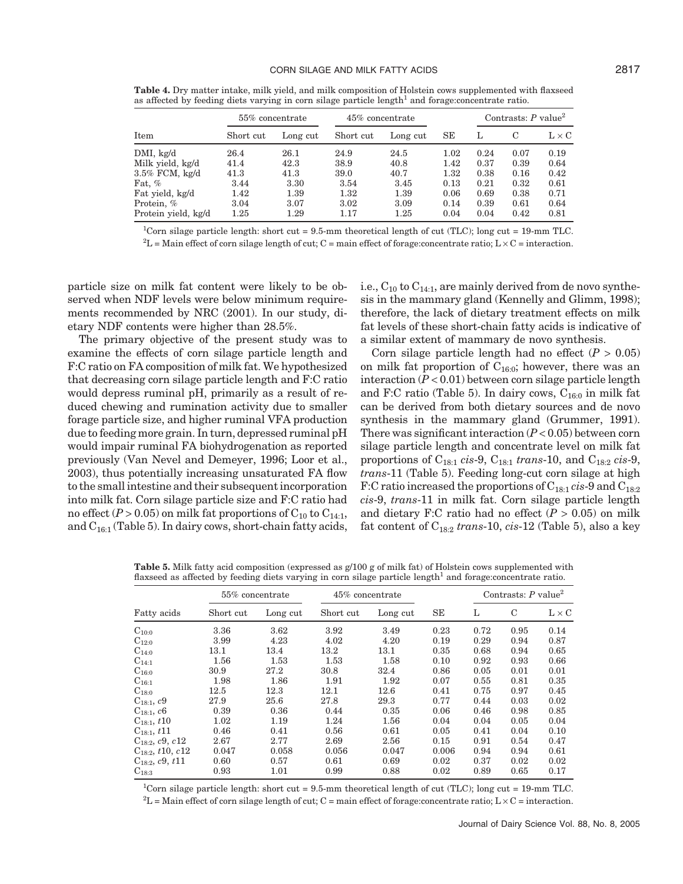**Table 4.** Dry matter intake, milk yield, and milk composition of Holstein cows supplemented with flaxseed as affected by feeding diets varying in corn silage particle length<sup>1</sup> and forage:concentrate ratio.

| Contrasts: $P$ value <sup>2</sup> |  |  |
|-----------------------------------|--|--|
| $L \times C$                      |  |  |
| 0.19<br>0.07                      |  |  |
| 0.39<br>0.64                      |  |  |
| 0.42<br>0.16                      |  |  |
| 0.32<br>0.61                      |  |  |
| 0.38<br>0.71                      |  |  |
| 0.61<br>0.64                      |  |  |
| 0.81<br>0.42                      |  |  |
|                                   |  |  |

<sup>1</sup>Corn silage particle length: short cut = 9.5-mm theoretical length of cut (TLC); long cut = 19-mm TLC.  ${}^{2}L$  = Main effect of corn silage length of cut; C = main effect of forage:concentrate ratio; L  $\times$  C = interaction.

particle size on milk fat content were likely to be observed when NDF levels were below minimum requirements recommended by NRC (2001). In our study, dietary NDF contents were higher than 28.5%.

The primary objective of the present study was to examine the effects of corn silage particle length and F:C ratio on FA composition of milk fat. We hypothesized that decreasing corn silage particle length and F:C ratio would depress ruminal pH, primarily as a result of reduced chewing and rumination activity due to smaller forage particle size, and higher ruminal VFA production due to feeding more grain. In turn, depressed ruminal pH would impair ruminal FA biohydrogenation as reported previously (Van Nevel and Demeyer, 1996; Loor et al., 2003), thus potentially increasing unsaturated FA flow to the small intestine and their subsequent incorporation into milk fat. Corn silage particle size and F:C ratio had no effect  $(P > 0.05)$  on milk fat proportions of  $C_{10}$  to  $C_{14:1}$ , and  $C_{16:1}$  (Table 5). In dairy cows, short-chain fatty acids,

i.e.,  $C_{10}$  to  $C_{14:1}$ , are mainly derived from de novo synthesis in the mammary gland (Kennelly and Glimm, 1998); therefore, the lack of dietary treatment effects on milk fat levels of these short-chain fatty acids is indicative of a similar extent of mammary de novo synthesis.

Corn silage particle length had no effect  $(P > 0.05)$ on milk fat proportion of  $C_{16:0}$ ; however, there was an interaction (*P* < 0.01) between corn silage particle length and F:C ratio (Table 5). In dairy cows,  $C_{16:0}$  in milk fat can be derived from both dietary sources and de novo synthesis in the mammary gland (Grummer, 1991). There was significant interaction (*P* < 0.05) between corn silage particle length and concentrate level on milk fat proportions of C18:1 *cis*-9, C18:1 *trans*-10, and C18:2 *cis*-9, *trans*-11 (Table 5). Feeding long-cut corn silage at high F:C ratio increased the proportions of C18:1 *cis*-9 and C18:2 *cis*-9, *trans*-11 in milk fat. Corn silage particle length and dietary F:C ratio had no effect (*P* > 0.05) on milk fat content of C18:2 *trans*-10, *cis*-12 (Table 5), also a key

**Table 5.** Milk fatty acid composition (expressed as g/100 g of milk fat) of Holstein cows supplemented with flaxseed as affected by feeding diets varying in corn silage particle length<sup>1</sup> and forage:concentrate ratio.

|                       | 55% concentrate |          | 45% concentrate |          |       | Contrasts: $P$ value <sup>2</sup> |      |              |
|-----------------------|-----------------|----------|-----------------|----------|-------|-----------------------------------|------|--------------|
| Fatty acids           | Short cut       | Long cut | Short cut       | Long cut | SE    | L                                 | C    | $L \times C$ |
| $C_{10:0}$            | 3.36            | 3.62     | 3.92            | 3.49     | 0.23  | 0.72                              | 0.95 | 0.14         |
| $C_{12:0}$            | 3.99            | 4.23     | 4.02            | 4.20     | 0.19  | 0.29                              | 0.94 | 0.87         |
| $\mathrm{C}_{14:0}$   | 13.1            | 13.4     | 13.2            | 13.1     | 0.35  | 0.68                              | 0.94 | 0.65         |
| $C_{14:1}$            | 1.56            | 1.53     | 1.53            | 1.58     | 0.10  | 0.92                              | 0.93 | 0.66         |
| $\mathrm{C}_{16:0}$   | 30.9            | 27.2     | 30.8            | 32.4     | 0.86  | 0.05                              | 0.01 | 0.01         |
| $C_{16:1}$            | 1.98            | 1.86     | 1.91            | 1.92     | 0.07  | 0.55                              | 0.81 | 0.35         |
| $C_{18:0}$            | 12.5            | $12.3\,$ | 12.1            | 12.6     | 0.41  | 0.75                              | 0.97 | 0.45         |
| $C_{18:1}, c9$        | 27.9            | 25.6     | 27.8            | 29.3     | 0.77  | 0.44                              | 0.03 | 0.02         |
| $C_{18:1}$ , c6       | 0.39            | 0.36     | 0.44            | 0.35     | 0.06  | 0.46                              | 0.98 | 0.85         |
| $C_{18:1}$ , t10      | 1.02            | 1.19     | 1.24            | 1.56     | 0.04  | 0.04                              | 0.05 | 0.04         |
| $C_{18:1}$ , t11      | 0.46            | 0.41     | 0.56            | 0.61     | 0.05  | 0.41                              | 0.04 | 0.10         |
| $C_{18:2}, c9, c12$   | 2.67            | 2.77     | 2.69            | 2.56     | 0.15  | 0.91                              | 0.54 | 0.47         |
| $C_{18:2}$ , t10, c12 | 0.047           | 0.058    | 0.056           | 0.047    | 0.006 | 0.94                              | 0.94 | 0.61         |
| $C_{18:2}$ , c9, t11  | 0.60            | 0.57     | 0.61            | 0.69     | 0.02  | 0.37                              | 0.02 | 0.02         |
| $C_{18:3}$            | 0.93            | 1.01     | 0.99            | 0.88     | 0.02  | 0.89                              | 0.65 | 0.17         |

1 Corn silage particle length: short cut = 9.5-mm theoretical length of cut (TLC); long cut = 19-mm TLC.  ${}^{2}L$  = Main effect of corn silage length of cut; C = main effect of forage:concentrate ratio; L  $\times$  C = interaction.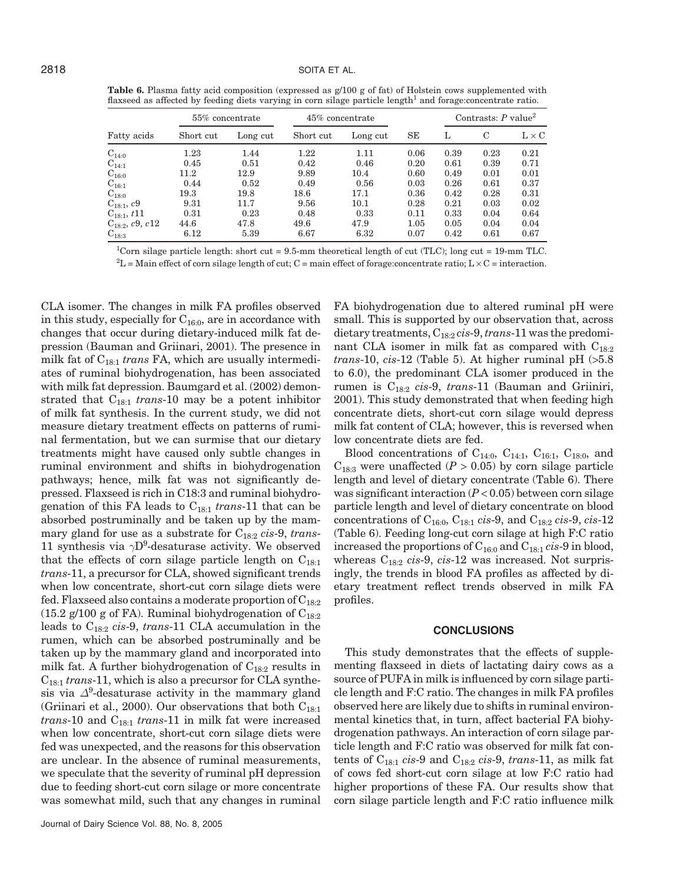Table 6. Plasma fatty acid composition (expressed as  $g/100 g$  of fat) of Holstein cows supplemented with flaxseed as affected by feeding diets varying in corn silage particle length<sup>1</sup> and forage:concentrate ratio.

|                     | 55% concentrate |          | 45% concentrate |          |      | Contrasts: $P$ value <sup>2</sup> |      |              |
|---------------------|-----------------|----------|-----------------|----------|------|-----------------------------------|------|--------------|
| Fatty acids         | Short cut       | Long cut | Short cut       | Long cut | SE   | L                                 | C    | $L \times C$ |
| $C_{14:0}$          | 1.23            | 1.44     | 1.22            | 1.11     | 0.06 | 0.39                              | 0.23 | 0.21         |
| $C_{14:1}$          | 0.45            | 0.51     | 0.42            | 0.46     | 0.20 | 0.61                              | 0.39 | 0.71         |
| $C_{16:0}$          | 11.2            | 12.9     | 9.89            | $10.4\,$ | 0.60 | 0.49                              | 0.01 | 0.01         |
| $C_{16:1}$          | 0.44            | 0.52     | 0.49            | 0.56     | 0.03 | 0.26                              | 0.61 | 0.37         |
| $C_{18:0}$          | $19.3\,$        | 19.8     | 18.6            | 17.1     | 0.36 | 0.42                              | 0.28 | 0.31         |
| $C_{18:1}, c9$      | 9.31            | 11.7     | 9.56            | 10.1     | 0.28 | 0.21                              | 0.03 | 0.02         |
| $C_{18:1}, t11$     | 0.31            | 0.23     | 0.48            | 0.33     | 0.11 | 0.33                              | 0.04 | 0.64         |
| $C_{18:2}, c9, c12$ | 44.6            | 47.8     | 49.6            | 47.9     | 1.05 | 0.05                              | 0.04 | 0.04         |
| $C_{18:3}$          | 6.12            | 5.39     | 6.67            | 6.32     | 0.07 | 0.42                              | 0.61 | 0.67         |

<sup>1</sup>Corn silage particle length: short cut =  $9.5$ -mm theoretical length of cut (TLC); long cut =  $19$ -mm TLC.

 ${}^{2}L$  = Main effect of corn silage length of cut; C = main effect of forage:concentrate ratio; L  $\times$  C = interaction.

CLA isomer. The changes in milk FA profiles observed in this study, especially for  $C_{16:0}$ , are in accordance with changes that occur during dietary-induced milk fat depression (Bauman and Griinari, 2001). The presence in milk fat of C18:1 *trans* FA, which are usually intermediates of ruminal biohydrogenation, has been associated with milk fat depression. Baumgard et al. (2002) demonstrated that  $C_{18:1}$  *trans*-10 may be a potent inhibitor of milk fat synthesis. In the current study, we did not measure dietary treatment effects on patterns of ruminal fermentation, but we can surmise that our dietary treatments might have caused only subtle changes in ruminal environment and shifts in biohydrogenation pathways; hence, milk fat was not significantly depressed. Flaxseed is rich in C18:3 and ruminal biohydrogenation of this FA leads to  $C_{18:1}$  *trans*-11 that can be absorbed postruminally and be taken up by the mammary gland for use as a substrate for C18:2 *cis*-9, *trans*-11 synthesis via  $\gamma D^9$ -desaturase activity. We observed that the effects of corn silage particle length on  $C_{18:1}$ *trans*-11, a precursor for CLA, showed significant trends when low concentrate, short-cut corn silage diets were fed. Flaxseed also contains a moderate proportion of  $C_{18:2}$ (15.2 g/100 g of FA). Ruminal biohydrogenation of  $C_{18:2}$ leads to C18:2 *cis*-9, *trans*-11 CLA accumulation in the rumen, which can be absorbed postruminally and be taken up by the mammary gland and incorporated into milk fat. A further biohydrogenation of  $C_{18:2}$  results in C18:1 *trans*-11, which is also a precursor for CLA synthesis via  $\Delta^9$ -desaturase activity in the mammary gland (Griinari et al., 2000). Our observations that both  $C_{18:1}$  $trans-10$  and  $C_{18:1}$  *trans*-11 in milk fat were increased when low concentrate, short-cut corn silage diets were fed was unexpected, and the reasons for this observation are unclear. In the absence of ruminal measurements, we speculate that the severity of ruminal pH depression due to feeding short-cut corn silage or more concentrate was somewhat mild, such that any changes in ruminal

FA biohydrogenation due to altered ruminal pH were small. This is supported by our observation that, across dietary treatments, C18:2 *cis*-9,*trans*-11 was the predominant CLA isomer in milk fat as compared with  $C_{18:2}$ *trans*-10, *cis*-12 (Table 5). At higher ruminal pH (>5.8 to 6.0), the predominant CLA isomer produced in the rumen is C18:2 *cis*-9, *trans*-11 (Bauman and Griiniri, 2001). This study demonstrated that when feeding high concentrate diets, short-cut corn silage would depress milk fat content of CLA; however, this is reversed when low concentrate diets are fed.

Blood concentrations of  $C_{14:0}$ ,  $C_{14:1}$ ,  $C_{16:1}$ ,  $C_{18:0}$ , and  $C_{18:3}$  were unaffected ( $P > 0.05$ ) by corn silage particle length and level of dietary concentrate (Table 6). There was significant interaction (*P* < 0.05) between corn silage particle length and level of dietary concentrate on blood concentrations of C16:0, C18:1 *cis*-9, and C18:2 *cis*-9, *cis*-12 (Table 6). Feeding long-cut corn silage at high F:C ratio increased the proportions of C16:0 and C18:1 *cis*-9 in blood, whereas C18:2 *cis*-9, *cis*-12 was increased. Not surprisingly, the trends in blood FA profiles as affected by dietary treatment reflect trends observed in milk FA profiles.

#### **CONCLUSIONS**

This study demonstrates that the effects of supplementing flaxseed in diets of lactating dairy cows as a source of PUFA in milk is influenced by corn silage particle length and F:C ratio. The changes in milk FA profiles observed here are likely due to shifts in ruminal environmental kinetics that, in turn, affect bacterial FA biohydrogenation pathways. An interaction of corn silage particle length and F:C ratio was observed for milk fat contents of  $C_{18:1}$  *cis*-9 and  $C_{18:2}$  *cis-9, trans-11, as milk fat* of cows fed short-cut corn silage at low F:C ratio had higher proportions of these FA. Our results show that corn silage particle length and F:C ratio influence milk